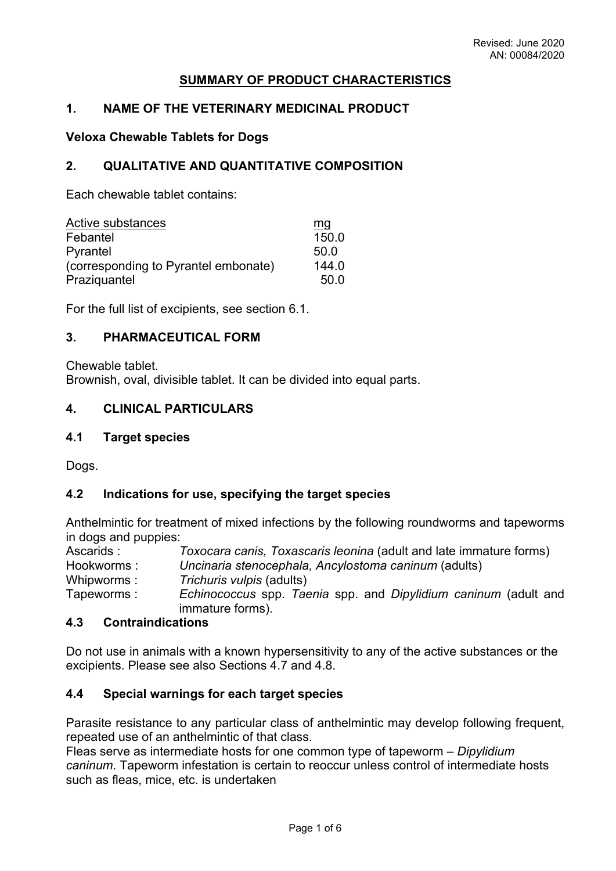# **SUMMARY OF PRODUCT CHARACTERISTICS**

# **1. NAME OF THE VETERINARY MEDICINAL PRODUCT**

#### **Veloxa Chewable Tablets for Dogs**

### **2. QUALITATIVE AND QUANTITATIVE COMPOSITION**

Each chewable tablet contains:

| Active substances                    | mg    |
|--------------------------------------|-------|
| Febantel                             | 150.0 |
| Pyrantel                             | 50.0  |
| (corresponding to Pyrantel embonate) | 144.0 |
| Praziquantel                         | 50.0  |

For the full list of excipients, see section 6.1.

# **3. PHARMACEUTICAL FORM**

Chewable tablet. Brownish, oval, divisible tablet. It can be divided into equal parts.

### **4. CLINICAL PARTICULARS**

### **4.1 Target species**

Dogs.

#### **4.2 Indications for use, specifying the target species**

Anthelmintic for treatment of mixed infections by the following roundworms and tapeworms in dogs and puppies:

Ascarids : *Toxocara canis, Toxascaris leonina* (adult and late immature forms) Hookworms : *Uncinaria stenocephala, Ancylostoma caninum* (adults) Whipworms : *Trichuris vulpis* (adults) Tapeworms : *Echinococcus* spp. *Taenia* spp. and *Dipylidium caninum* (adult and immature forms).

#### **4.3 Contraindications**

Do not use in animals with a known hypersensitivity to any of the active substances or the excipients. Please see also Sections 4.7 and 4.8.

#### **4.4 Special warnings for each target species**

Parasite resistance to any particular class of anthelmintic may develop following frequent, repeated use of an anthelmintic of that class.

Fleas serve as intermediate hosts for one common type of tapeworm – *Dipylidium caninum*. Tapeworm infestation is certain to reoccur unless control of intermediate hosts such as fleas, mice, etc. is undertaken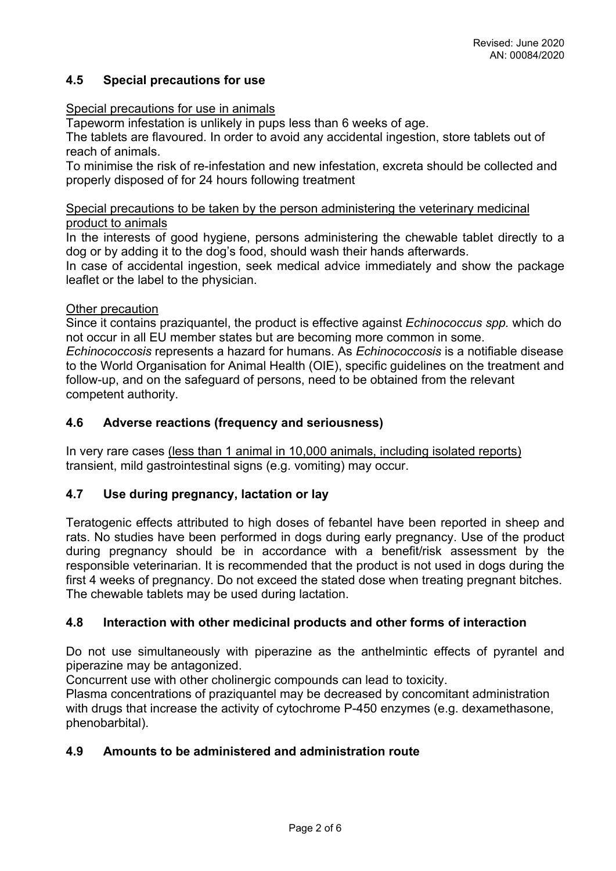# **4.5 Special precautions for use**

# Special precautions for use in animals

Tapeworm infestation is unlikely in pups less than 6 weeks of age.

The tablets are flavoured. In order to avoid any accidental ingestion, store tablets out of reach of animals.

To minimise the risk of re-infestation and new infestation, excreta should be collected and properly disposed of for 24 hours following treatment

### Special precautions to be taken by the person administering the veterinary medicinal product to animals

In the interests of good hygiene, persons administering the chewable tablet directly to a dog or by adding it to the dog's food, should wash their hands afterwards.

In case of accidental ingestion, seek medical advice immediately and show the package leaflet or the label to the physician.

### Other precaution

Since it contains praziquantel, the product is effective against *Echinococcus spp.* which do not occur in all EU member states but are becoming more common in some.

*Echinococcosis* represents a hazard for humans. As *Echinococcosis* is a notifiable disease to the World Organisation for Animal Health (OIE), specific guidelines on the treatment and follow-up, and on the safeguard of persons, need to be obtained from the relevant competent authority.

# **4.6 Adverse reactions (frequency and seriousness)**

In very rare cases (less than 1 animal in 10,000 animals, including isolated reports) transient, mild gastrointestinal signs (e.g. vomiting) may occur.

# **4.7 Use during pregnancy, lactation or lay**

Teratogenic effects attributed to high doses of febantel have been reported in sheep and rats. No studies have been performed in dogs during early pregnancy. Use of the product during pregnancy should be in accordance with a benefit/risk assessment by the responsible veterinarian. It is recommended that the product is not used in dogs during the first 4 weeks of pregnancy. Do not exceed the stated dose when treating pregnant bitches. The chewable tablets may be used during lactation.

# **4.8 Interaction with other medicinal products and other forms of interaction**

Do not use simultaneously with piperazine as the anthelmintic effects of pyrantel and piperazine may be antagonized.

Concurrent use with other cholinergic compounds can lead to toxicity.

Plasma concentrations of praziquantel may be decreased by concomitant administration with drugs that increase the activity of cytochrome P-450 enzymes (e.g. dexamethasone, phenobarbital).

# **4.9 Amounts to be administered and administration route**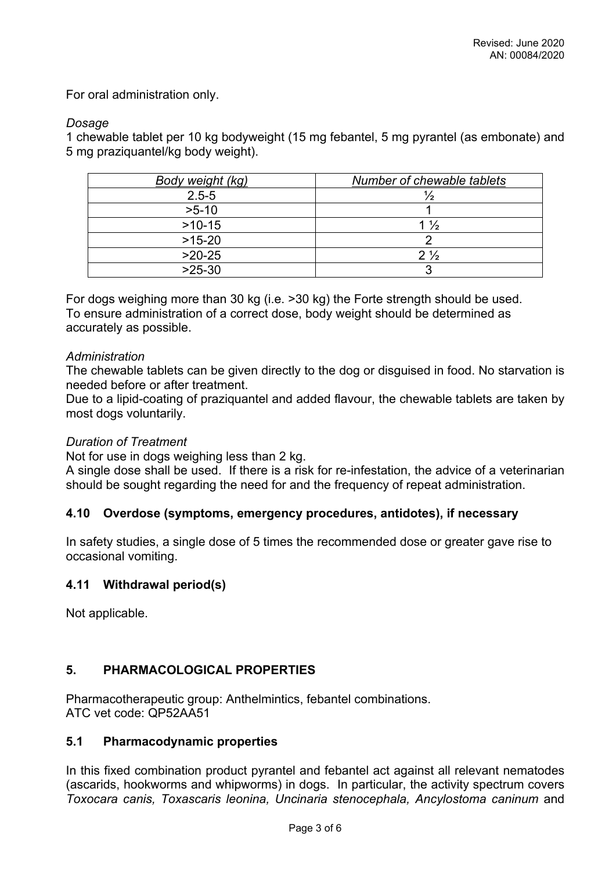For oral administration only.

# *Dosage*

1 chewable tablet per 10 kg bodyweight (15 mg febantel, 5 mg pyrantel (as embonate) and 5 mg praziquantel/kg body weight).

| Body weight (kg) | Number of chewable tablets |
|------------------|----------------------------|
| $2.5 - 5$        |                            |
| $>5-10$          |                            |
| $>10-15$         | $1\frac{1}{2}$             |
| $>15-20$         |                            |
| $>20-25$         | $2\frac{1}{2}$             |
| $>25-30$         |                            |

For dogs weighing more than 30 kg (i.e. >30 kg) the Forte strength should be used. To ensure administration of a correct dose, body weight should be determined as accurately as possible.

# *Administration*

The chewable tablets can be given directly to the dog or disguised in food. No starvation is needed before or after treatment.

Due to a lipid-coating of praziquantel and added flavour, the chewable tablets are taken by most dogs voluntarily.

### *Duration of Treatment*

Not for use in dogs weighing less than 2 kg.

A single dose shall be used. If there is a risk for re-infestation, the advice of a veterinarian should be sought regarding the need for and the frequency of repeat administration.

# **4.10 Overdose (symptoms, emergency procedures, antidotes), if necessary**

In safety studies, a single dose of 5 times the recommended dose or greater gave rise to occasional vomiting.

# **4.11 Withdrawal period(s)**

Not applicable.

# **5. PHARMACOLOGICAL PROPERTIES**

Pharmacotherapeutic group: Anthelmintics, febantel combinations. ATC vet code: QP52AA51

# **5.1 Pharmacodynamic properties**

In this fixed combination product pyrantel and febantel act against all relevant nematodes (ascarids, hookworms and whipworms) in dogs. In particular, the activity spectrum covers *Toxocara canis, Toxascaris leonina, Uncinaria stenocephala, Ancylostoma caninum* and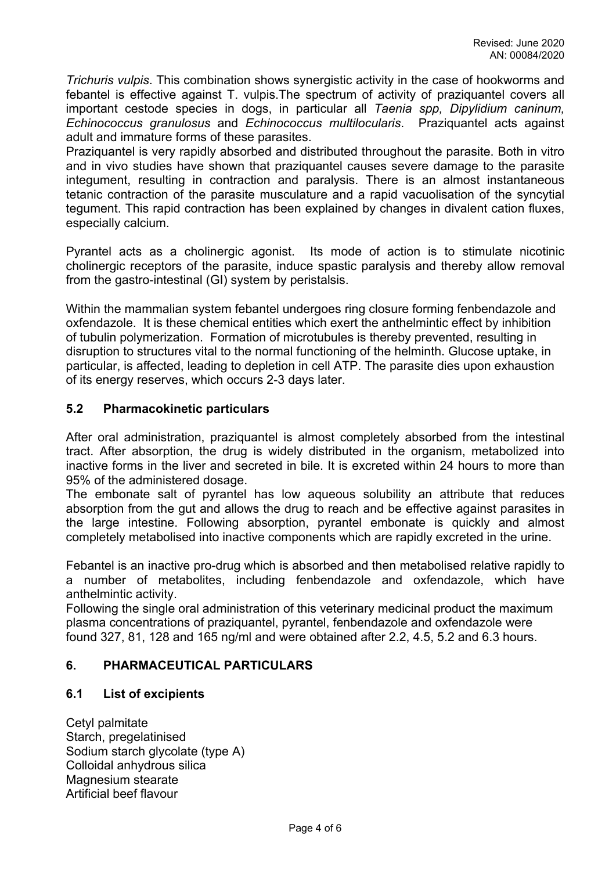*Trichuris vulpis*. This combination shows synergistic activity in the case of hookworms and febantel is effective against T. vulpis.The spectrum of activity of praziquantel covers all important cestode species in dogs, in particular all *Taenia spp, Dipylidium caninum, Echinococcus granulosus* and *Echinococcus multilocularis*. Praziquantel acts against adult and immature forms of these parasites.

Praziquantel is very rapidly absorbed and distributed throughout the parasite. Both in vitro and in vivo studies have shown that praziquantel causes severe damage to the parasite integument, resulting in contraction and paralysis. There is an almost instantaneous tetanic contraction of the parasite musculature and a rapid vacuolisation of the syncytial tegument. This rapid contraction has been explained by changes in divalent cation fluxes, especially calcium.

Pyrantel acts as a cholinergic agonist. Its mode of action is to stimulate nicotinic cholinergic receptors of the parasite, induce spastic paralysis and thereby allow removal from the gastro-intestinal (GI) system by peristalsis.

Within the mammalian system febantel undergoes ring closure forming fenbendazole and oxfendazole. It is these chemical entities which exert the anthelmintic effect by inhibition of tubulin polymerization. Formation of microtubules is thereby prevented, resulting in disruption to structures vital to the normal functioning of the helminth. Glucose uptake, in particular, is affected, leading to depletion in cell ATP. The parasite dies upon exhaustion of its energy reserves, which occurs 2-3 days later.

# **5.2 Pharmacokinetic particulars**

After oral administration, praziquantel is almost completely absorbed from the intestinal tract. After absorption, the drug is widely distributed in the organism, metabolized into inactive forms in the liver and secreted in bile. It is excreted within 24 hours to more than 95% of the administered dosage.

The embonate salt of pyrantel has low aqueous solubility an attribute that reduces absorption from the gut and allows the drug to reach and be effective against parasites in the large intestine. Following absorption, pyrantel embonate is quickly and almost completely metabolised into inactive components which are rapidly excreted in the urine.

Febantel is an inactive pro-drug which is absorbed and then metabolised relative rapidly to a number of metabolites, including fenbendazole and oxfendazole, which have anthelmintic activity.

Following the single oral administration of this veterinary medicinal product the maximum plasma concentrations of praziquantel, pyrantel, fenbendazole and oxfendazole were found 327, 81, 128 and 165 ng/ml and were obtained after 2.2, 4.5, 5.2 and 6.3 hours.

# **6. PHARMACEUTICAL PARTICULARS**

# **6.1 List of excipients**

Cetyl palmitate Starch, pregelatinised Sodium starch glycolate (type A) Colloidal anhydrous silica Magnesium stearate Artificial beef flavour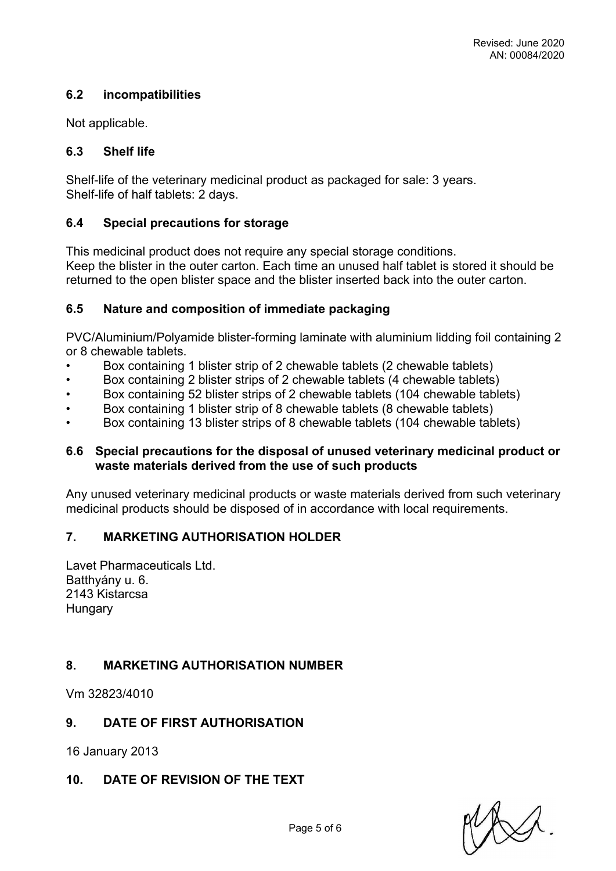# **6.2 incompatibilities**

Not applicable.

# **6.3 Shelf life**

Shelf-life of the veterinary medicinal product as packaged for sale: 3 years. Shelf-life of half tablets: 2 days.

# **6.4 Special precautions for storage**

This medicinal product does not require any special storage conditions. Keep the blister in the outer carton. Each time an unused half tablet is stored it should be returned to the open blister space and the blister inserted back into the outer carton.

# **6.5 Nature and composition of immediate packaging**

PVC/Aluminium/Polyamide blister-forming laminate with aluminium lidding foil containing 2 or 8 chewable tablets.

- Box containing 1 blister strip of 2 chewable tablets (2 chewable tablets)
- Box containing 2 blister strips of 2 chewable tablets (4 chewable tablets)
- Box containing 52 blister strips of 2 chewable tablets (104 chewable tablets)
- Box containing 1 blister strip of 8 chewable tablets (8 chewable tablets)
- Box containing 13 blister strips of 8 chewable tablets (104 chewable tablets)

### **6.6 Special precautions for the disposal of unused veterinary medicinal product or waste materials derived from the use of such products**

Any unused veterinary medicinal products or waste materials derived from such veterinary medicinal products should be disposed of in accordance with local requirements.

# **7. MARKETING AUTHORISATION HOLDER**

Lavet Pharmaceuticals Ltd. Batthyány u. 6. 2143 Kistarcsa **Hungary** 

# **8. MARKETING AUTHORISATION NUMBER**

Vm 32823/4010

# **9. DATE OF FIRST AUTHORISATION**

16 January 2013

# **10. DATE OF REVISION OF THE TEXT**